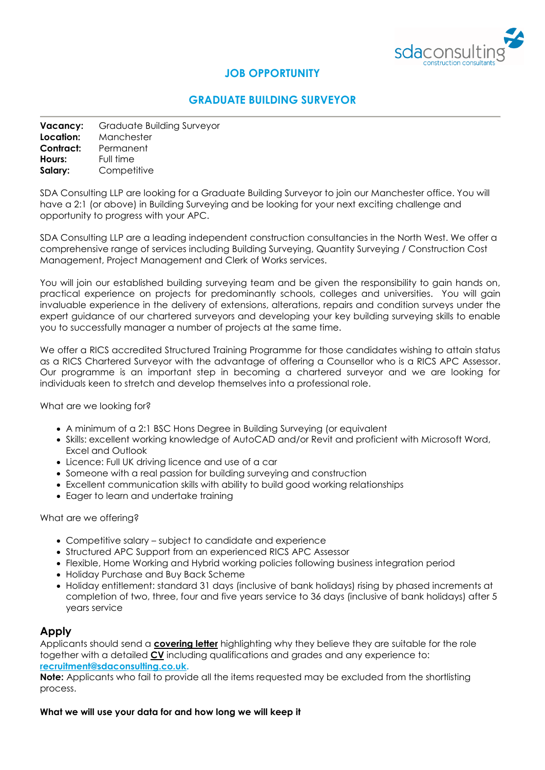

# **JOB OPPORTUNITY**

## **GRADUATE BUILDING SURVEYOR**

| Vacancy:  | Graduate Building Surveyor |
|-----------|----------------------------|
| Location: | Manchester                 |
| Contract: | Permanent                  |
| Hours:    | Full time                  |
| Salary:   | Competitive                |

SDA Consulting LLP are looking for a Graduate Building Surveyor to join our Manchester office. You will have a 2:1 (or above) in Building Surveying and be looking for your next exciting challenge and opportunity to progress with your APC.

SDA Consulting LLP are a leading independent construction consultancies in the North West. We offer a comprehensive range of services including Building Surveying, Quantity Surveying / Construction Cost Management, Project Management and Clerk of Works services.

You will join our established building surveying team and be given the responsibility to gain hands on, practical experience on projects for predominantly schools, colleges and universities. You will gain invaluable experience in the delivery of extensions, alterations, repairs and condition surveys under the expert guidance of our chartered surveyors and developing your key building surveying skills to enable you to successfully manager a number of projects at the same time.

We offer a RICS accredited Structured Training Programme for those candidates wishing to attain status as a RICS Chartered Surveyor with the advantage of offering a Counsellor who is a RICS APC Assessor. Our programme is an important step in becoming a chartered surveyor and we are looking for individuals keen to stretch and develop themselves into a professional role.

What are we looking for?

- A minimum of a 2:1 BSC Hons Degree in Building Surveying (or equivalent
- Skills: excellent working knowledge of AutoCAD and/or Revit and proficient with Microsoft Word, Excel and Outlook
- Licence: Full UK driving licence and use of a car
- Someone with a real passion for building surveying and construction
- Excellent communication skills with ability to build good working relationships
- Eager to learn and undertake training

What are we offering?

- Competitive salary subject to candidate and experience
- Structured APC Support from an experienced RICS APC Assessor
- Flexible, Home Working and Hybrid working policies following business integration period
- Holiday Purchase and Buy Back Scheme
- Holiday entitlement: standard 31 days (inclusive of bank holidays) rising by phased increments at completion of two, three, four and five years service to 36 days (inclusive of bank holidays) after 5 years service

### **Apply**

Applicants should send a **covering letter** highlighting why they believe they are suitable for the role together with a detailed **CV** including qualifications and grades and any experience to: **[recruitment@sdaconsulting.co.uk.](mailto:recruitment@sdaconsulting.co.uk)**

**Note:** Applicants who fail to provide all the items requested may be excluded from the shortlisting process.

**What we will use your data for and how long we will keep it**